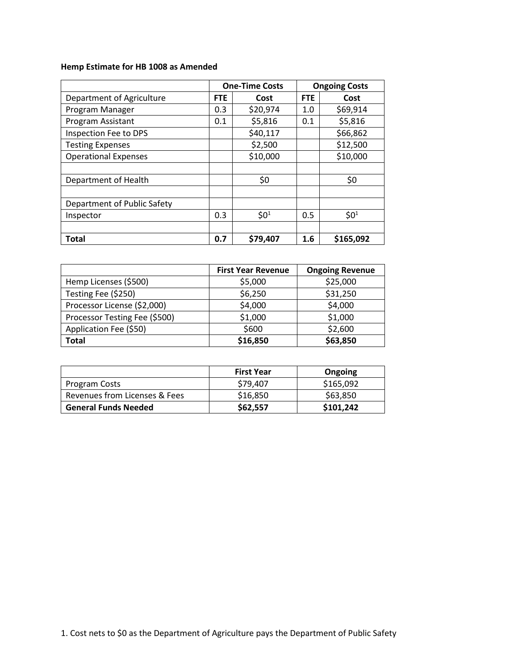# **Hemp Estimate for HB 1008 as Amended**

|                             | <b>One-Time Costs</b> |          | <b>Ongoing Costs</b> |           |
|-----------------------------|-----------------------|----------|----------------------|-----------|
| Department of Agriculture   | <b>FTE</b>            | Cost     | <b>FTE</b>           | Cost      |
| Program Manager             | 0.3                   | \$20,974 | 1.0                  | \$69,914  |
| Program Assistant           | 0.1                   | \$5,816  | 0.1                  | \$5,816   |
| Inspection Fee to DPS       |                       | \$40,117 |                      | \$66,862  |
| <b>Testing Expenses</b>     |                       | \$2,500  |                      | \$12,500  |
| <b>Operational Expenses</b> |                       | \$10,000 |                      | \$10,000  |
|                             |                       |          |                      |           |
| Department of Health        |                       | \$0      |                      | \$0       |
|                             |                       |          |                      |           |
| Department of Public Safety |                       |          |                      |           |
| Inspector                   | 0.3                   | $$0^1$   | 0.5                  | $$0^1$    |
|                             |                       |          |                      |           |
| Total                       | 0.7                   | \$79,407 | 1.6                  | \$165,092 |

|                               | <b>First Year Revenue</b> | <b>Ongoing Revenue</b> |
|-------------------------------|---------------------------|------------------------|
| Hemp Licenses (\$500)         | \$5,000                   | \$25,000               |
| Testing Fee (\$250)           | \$6,250                   | \$31,250               |
| Processor License (\$2,000)   | \$4,000                   | \$4,000                |
| Processor Testing Fee (\$500) | \$1,000                   | \$1,000                |
| Application Fee (\$50)        | \$600                     | \$2,600                |
| Total                         | \$16,850                  | \$63,850               |

|                               | <b>First Year</b> | Ongoing   |
|-------------------------------|-------------------|-----------|
| Program Costs                 | \$79,407          | \$165,092 |
| Revenues from Licenses & Fees | \$16,850          | \$63,850  |
| <b>General Funds Needed</b>   | \$62,557          | \$101,242 |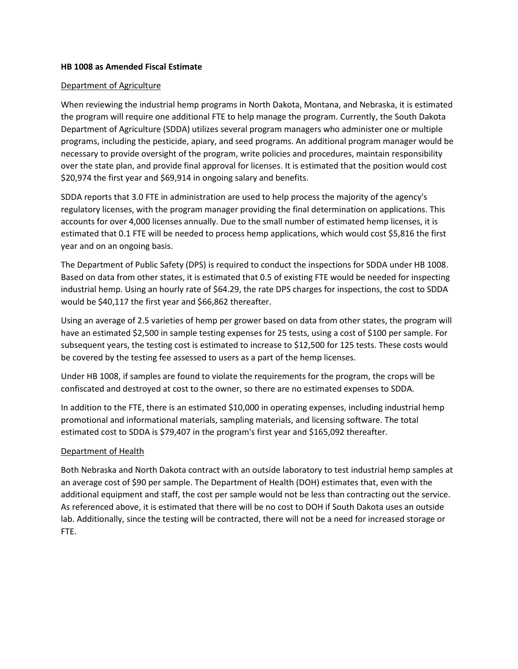#### **HB 1008 as Amended Fiscal Estimate**

#### Department of Agriculture

When reviewing the industrial hemp programs in North Dakota, Montana, and Nebraska, it is estimated the program will require one additional FTE to help manage the program. Currently, the South Dakota Department of Agriculture (SDDA) utilizes several program managers who administer one or multiple programs, including the pesticide, apiary, and seed programs. An additional program manager would be necessary to provide oversight of the program, write policies and procedures, maintain responsibility over the state plan, and provide final approval for licenses. It is estimated that the position would cost \$20,974 the first year and \$69,914 in ongoing salary and benefits.

SDDA reports that 3.0 FTE in administration are used to help process the majority of the agency's regulatory licenses, with the program manager providing the final determination on applications. This accounts for over 4,000 licenses annually. Due to the small number of estimated hemp licenses, it is estimated that 0.1 FTE will be needed to process hemp applications, which would cost \$5,816 the first year and on an ongoing basis.

The Department of Public Safety (DPS) is required to conduct the inspections for SDDA under HB 1008. Based on data from other states, it is estimated that 0.5 of existing FTE would be needed for inspecting industrial hemp. Using an hourly rate of \$64.29, the rate DPS charges for inspections, the cost to SDDA would be \$40,117 the first year and \$66,862 thereafter.

Using an average of 2.5 varieties of hemp per grower based on data from other states, the program will have an estimated \$2,500 in sample testing expenses for 25 tests, using a cost of \$100 per sample. For subsequent years, the testing cost is estimated to increase to \$12,500 for 125 tests. These costs would be covered by the testing fee assessed to users as a part of the hemp licenses.

Under HB 1008, if samples are found to violate the requirements for the program, the crops will be confiscated and destroyed at cost to the owner, so there are no estimated expenses to SDDA.

In addition to the FTE, there is an estimated \$10,000 in operating expenses, including industrial hemp promotional and informational materials, sampling materials, and licensing software. The total estimated cost to SDDA is \$79,407 in the program's first year and \$165,092 thereafter.

#### Department of Health

Both Nebraska and North Dakota contract with an outside laboratory to test industrial hemp samples at an average cost of \$90 per sample. The Department of Health (DOH) estimates that, even with the additional equipment and staff, the cost per sample would not be less than contracting out the service. As referenced above, it is estimated that there will be no cost to DOH if South Dakota uses an outside lab. Additionally, since the testing will be contracted, there will not be a need for increased storage or FTE.